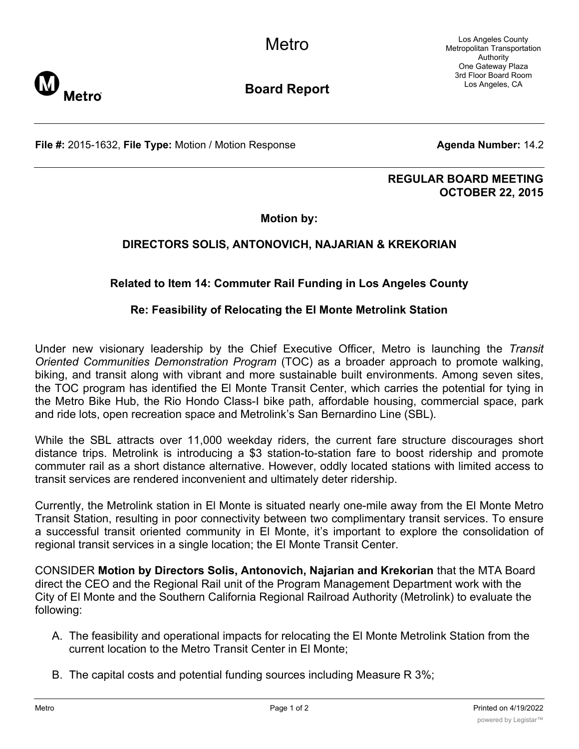Los Angeles County Metropolitan Transportation Authority One Gateway Plaza 3rd Floor Board Room Los Angeles, CA



**Board Report**

**File #:** 2015-1632, File Type: Motion / Motion Response **Agenda Number:** 14.2

#### **REGULAR BOARD MEETING OCTOBER 22, 2015**

**Motion by:**

# **DIRECTORS SOLIS, ANTONOVICH, NAJARIAN & KREKORIAN**

# **Related to Item 14: Commuter Rail Funding in Los Angeles County**

### **Re: Feasibility of Relocating the El Monte Metrolink Station**

Under new visionary leadership by the Chief Executive Officer, Metro is launching the *Transit Oriented Communities Demonstration Program* (TOC) as a broader approach to promote walking, biking, and transit along with vibrant and more sustainable built environments. Among seven sites, the TOC program has identified the El Monte Transit Center, which carries the potential for tying in the Metro Bike Hub, the Rio Hondo Class-I bike path, affordable housing, commercial space, park and ride lots, open recreation space and Metrolink's San Bernardino Line (SBL).

While the SBL attracts over 11,000 weekday riders, the current fare structure discourages short distance trips. Metrolink is introducing a \$3 station-to-station fare to boost ridership and promote commuter rail as a short distance alternative. However, oddly located stations with limited access to transit services are rendered inconvenient and ultimately deter ridership.

Currently, the Metrolink station in El Monte is situated nearly one-mile away from the El Monte Metro Transit Station, resulting in poor connectivity between two complimentary transit services. To ensure a successful transit oriented community in El Monte, it's important to explore the consolidation of regional transit services in a single location; the El Monte Transit Center.

CONSIDER **Motion by Directors Solis, Antonovich, Najarian and Krekorian** that the MTA Board direct the CEO and the Regional Rail unit of the Program Management Department work with the City of El Monte and the Southern California Regional Railroad Authority (Metrolink) to evaluate the following:

- A. The feasibility and operational impacts for relocating the El Monte Metrolink Station from the current location to the Metro Transit Center in El Monte;
- B. The capital costs and potential funding sources including Measure R 3%;